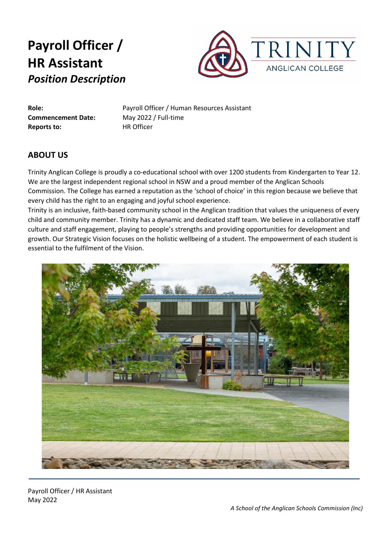

**Commencement Date:** May 2022 / Full-time **Reports to:** HR Officer

**Role:** Payroll Officer / Human Resources Assistant

### **ABOUT US**

Trinity Anglican College is proudly a co-educational school with over 1200 students from Kindergarten to Year 12. We are the largest independent regional school in NSW and a proud member of the Anglican Schools Commission. The College has earned a reputation as the 'school of choice' in this region because we believe that every child has the right to an engaging and joyful school experience.

Trinity is an inclusive, faith-based community school in the Anglican tradition that values the uniqueness of every child and community member. Trinity has a dynamic and dedicated staff team. We believe in a collaborative staff culture and staff engagement, playing to people's strengths and providing opportunities for development and growth. Our Strategic Vision focuses on the holistic wellbeing of a student. The empowerment of each student is essential to the fulfilment of the Vision.



Payroll Officer / HR Assistant May 2022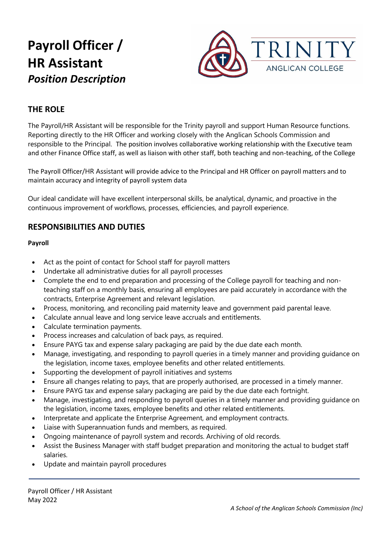

## **THE ROLE**

The Payroll/HR Assistant will be responsible for the Trinity payroll and support Human Resource functions. Reporting directly to the HR Officer and working closely with the Anglican Schools Commission and responsible to the Principal. The position involves collaborative working relationship with the Executive team and other Finance Office staff, as well as liaison with other staff, both teaching and non-teaching, of the College

The Payroll Officer/HR Assistant will provide advice to the Principal and HR Officer on payroll matters and to maintain accuracy and integrity of payroll system data

Our ideal candidate will have excellent interpersonal skills, be analytical, dynamic, and proactive in the continuous improvement of workflows, processes, efficiencies, and payroll experience.

### **RESPONSIBILITIES AND DUTIES**

### **Payroll**

- Act as the point of contact for School staff for payroll matters
- Undertake all administrative duties for all payroll processes
- Complete the end to end preparation and processing of the College payroll for teaching and nonteaching staff on a monthly basis, ensuring all employees are paid accurately in accordance with the contracts, Enterprise Agreement and relevant legislation.
- Process, monitoring, and reconciling paid maternity leave and government paid parental leave.
- Calculate annual leave and long service leave accruals and entitlements.
- Calculate termination payments.
- Process increases and calculation of back pays, as required.
- Ensure PAYG tax and expense salary packaging are paid by the due date each month.
- Manage, investigating, and responding to payroll queries in a timely manner and providing guidance on the legislation, income taxes, employee benefits and other related entitlements.
- Supporting the development of payroll initiatives and systems
- Ensure all changes relating to pays, that are properly authorised, are processed in a timely manner.
- Ensure PAYG tax and expense salary packaging are paid by the due date each fortnight.
- Manage, investigating, and responding to payroll queries in a timely manner and providing guidance on the legislation, income taxes, employee benefits and other related entitlements.
- Interpretate and applicate the Enterprise Agreement, and employment contracts.
- Liaise with Superannuation funds and members, as required.
- Ongoing maintenance of payroll system and records. Archiving of old records.
- Assist the Business Manager with staff budget preparation and monitoring the actual to budget staff salaries.
- Update and maintain payroll procedures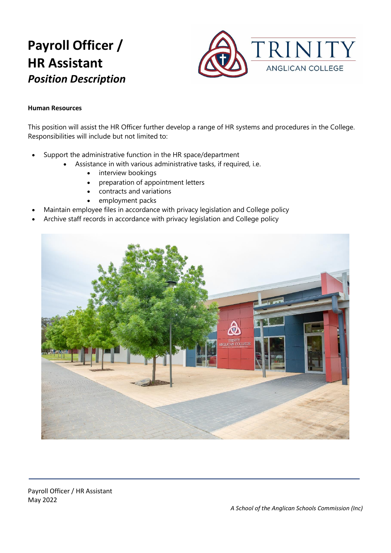

#### **Human Resources**

This position will assist the HR Officer further develop a range of HR systems and procedures in the College. Responsibilities will include but not limited to:

- Support the administrative function in the HR space/department
	- Assistance in with various administrative tasks, if required, i.e.
		- interview bookings
		- preparation of appointment letters
		- contracts and variations
		- employment packs
- Maintain employee files in accordance with privacy legislation and College policy
- Archive staff records in accordance with privacy legislation and College policy

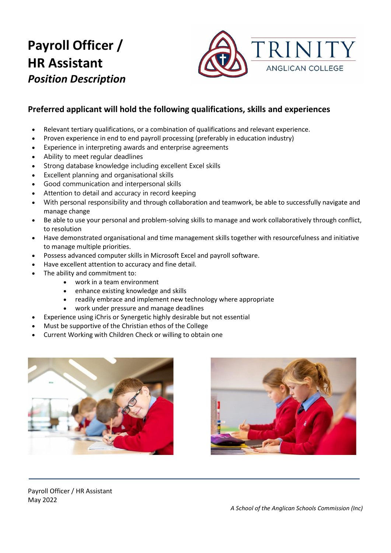

## **Preferred applicant will hold the following qualifications, skills and experiences**

- Relevant tertiary qualifications, or a combination of qualifications and relevant experience.
- Proven experience in end to end payroll processing (preferably in education industry)
- Experience in interpreting awards and enterprise agreements
- Ability to meet regular deadlines
- Strong database knowledge including excellent Excel skills
- Excellent planning and organisational skills
- Good communication and interpersonal skills
- Attention to detail and accuracy in record keeping
- With personal responsibility and through collaboration and teamwork, be able to successfully navigate and manage change
- Be able to use your personal and problem-solving skills to manage and work collaboratively through conflict, to resolution
- Have demonstrated organisational and time management skills together with resourcefulness and initiative to manage multiple priorities.
- Possess advanced computer skills in Microsoft Excel and payroll software.
- Have excellent attention to accuracy and fine detail.
- The ability and commitment to:
	- work in a team environment
		- enhance existing knowledge and skills
		- readily embrace and implement new technology where appropriate
		- work under pressure and manage deadlines
- Experience using iChris or Synergetic highly desirable but not essential
- Must be supportive of the Christian ethos of the College
- Current Working with Children Check or willing to obtain one





Payroll Officer / HR Assistant May 2022